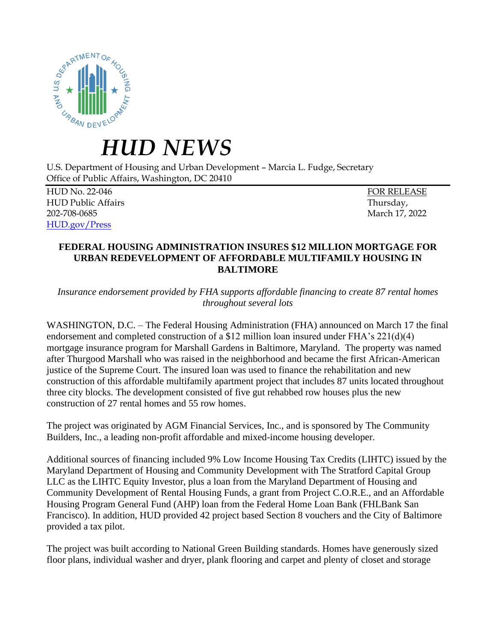

## *HUD NEWS*

U.S. Department of Housing and Urban Development – Marcia L. Fudge, Secretary Office of Public Affairs, Washington, DC 20410

HUD No. 22-046 FOR RELEASE HUD Public Affairs Thursday, 202-708-0685 March 17, 2022 [HUD.gov/Press](https://www.hud.gov/press)

## **FEDERAL HOUSING ADMINISTRATION INSURES \$12 MILLION MORTGAGE FOR URBAN REDEVELOPMENT OF AFFORDABLE MULTIFAMILY HOUSING IN BALTIMORE**

*Insurance endorsement provided by FHA supports affordable financing to create 87 rental homes throughout several lots*

WASHINGTON, D.C. – The Federal Housing Administration (FHA) announced on March 17 the final endorsement and completed construction of a \$12 million loan insured under FHA's 221(d)(4) mortgage insurance program for Marshall Gardens in Baltimore, Maryland. The property was named after Thurgood Marshall who was raised in the neighborhood and became the first African-American justice of the Supreme Court. The insured loan was used to finance the rehabilitation and new construction of this affordable multifamily apartment project that includes 87 units located throughout three city blocks. The development consisted of five gut rehabbed row houses plus the new construction of 27 rental homes and 55 row homes.

The project was originated by AGM Financial Services, Inc., and is sponsored by The Community Builders, Inc., a leading non-profit affordable and mixed-income housing developer.

Additional sources of financing included 9% Low Income Housing Tax Credits (LIHTC) issued by the Maryland Department of Housing and Community Development with The Stratford Capital Group LLC as the LIHTC Equity Investor, plus a loan from the Maryland Department of Housing and Community Development of Rental Housing Funds, a grant from Project C.O.R.E., and an Affordable Housing Program General Fund (AHP) loan from the Federal Home Loan Bank (FHLBank San Francisco). In addition, HUD provided 42 project based Section 8 vouchers and the City of Baltimore provided a tax pilot.

The project was built according to National Green Building standards. Homes have generously sized floor plans, individual washer and dryer, plank flooring and carpet and plenty of closet and storage